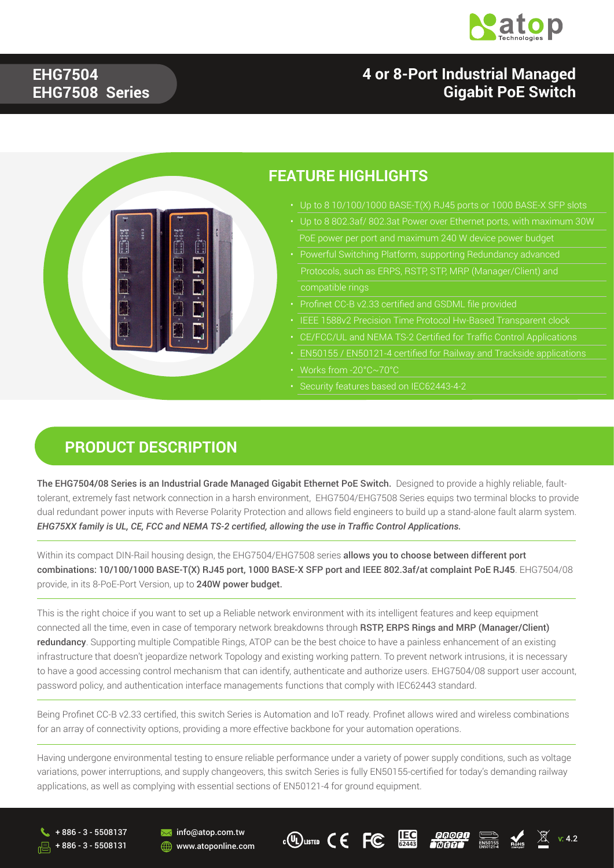

#### **EHG7504 EHG7508 Series**

#### **4 or 8-Port Industrial Managed Gigabit PoE Switch**



#### **PRODUCT DESCRIPTION**

The EHG7504/08 Series is an Industrial Grade Managed Gigabit Ethernet PoE Switch. Designed to provide a highly reliable, faulttolerant, extremely fast network connection in a harsh environment, EHG7504/EHG7508 Series equips two terminal blocks to provide dual redundant power inputs with Reverse Polarity Protection and allows field engineers to build up a stand-alone fault alarm system. *EHG75XX family is UL, CE, FCC and NEMA TS-2 certified, allowing the use in Traffic Control Applications.*

Within its compact DIN-Rail housing design, the EHG7504/EHG7508 series allows you to choose between different port combinations: 10/100/1000 BASE-T(X) RJ45 port, 1000 BASE-X SFP port and IEEE 802.3af/at complaint PoE RJ45. EHG7504/08 provide, in its 8-PoE-Port Version, up to 240W power budget.

This is the right choice if you want to set up a Reliable network environment with its intelligent features and keep equipment connected all the time, even in case of temporary network breakdowns through RSTP, ERPS Rings and MRP (Manager/Client) redundancy. Supporting multiple Compatible Rings, ATOP can be the best choice to have a painless enhancement of an existing infrastructure that doesn't jeopardize network Topology and existing working pattern. To prevent network intrusions, it is necessary to have a good accessing control mechanism that can identify, authenticate and authorize users. EHG7504/08 support user account, password policy, and authentication interface managements functions that comply with IEC62443 standard.

Being Profinet CC-B v2.33 certified, this switch Series is Automation and IoT ready. Profinet allows wired and wireless combinations for an array of connectivity options, providing a more effective backbone for your automation operations.

Having undergone environmental testing to ensure reliable performance under a variety of power supply conditions, such as voltage variations, power interruptions, and supply changeovers, this switch Series is fully EN50155-certified for today's demanding railway applications, as well as complying with essential sections of EN50121-4 for ground equipment.

+ 886 - 3 - 5508137 + 886 - 3 - 5508131 咼







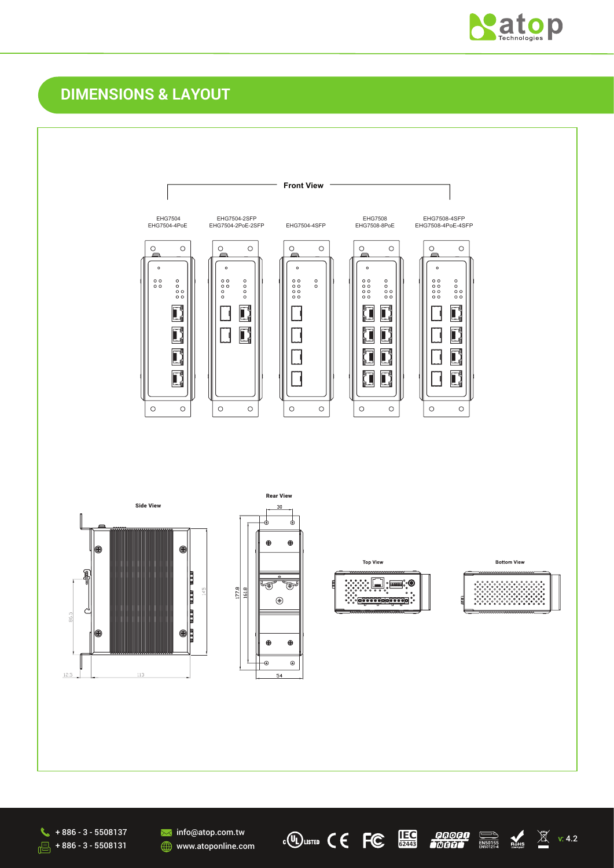

# **DIMENSIONS & LAYOUT**





**M**info@atop.com.tw **WWW.atoponline.com** 

 $\mathbb{C}$  (U) LISTED  $\mathsf{C} \in \mathsf{FC}$ 

**IEC** *QQQQQ* **ID M**<br>62443 *bddd* **<b>a** angoza Roks 2 v.4.2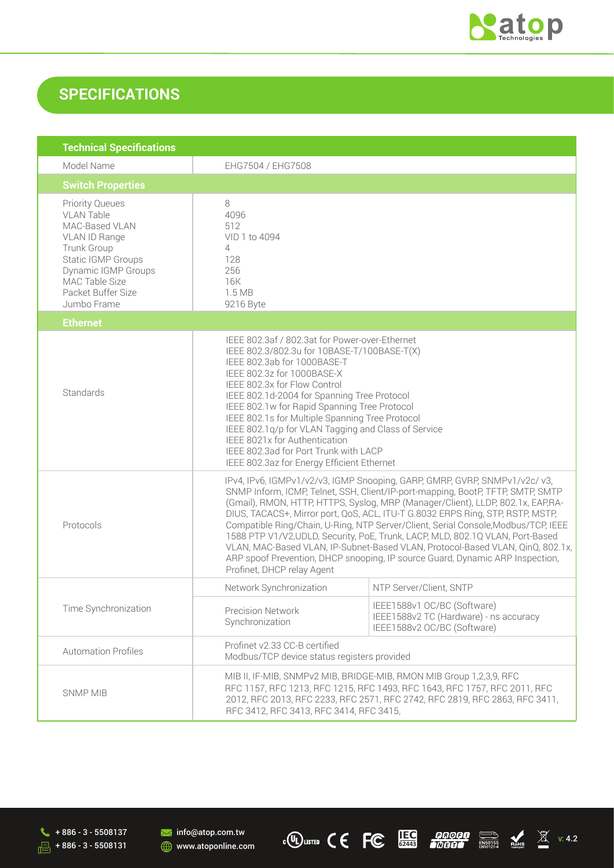

### **SPECIFICATIONS**

| <b>Technical Specifications</b>                                                                                                                                                                   |                                                                                                                                                                                                                                                                                                                                                                                                                                                                                                                                                                                                                                                                                                            |                                                                                                      |  |
|---------------------------------------------------------------------------------------------------------------------------------------------------------------------------------------------------|------------------------------------------------------------------------------------------------------------------------------------------------------------------------------------------------------------------------------------------------------------------------------------------------------------------------------------------------------------------------------------------------------------------------------------------------------------------------------------------------------------------------------------------------------------------------------------------------------------------------------------------------------------------------------------------------------------|------------------------------------------------------------------------------------------------------|--|
| Model Name                                                                                                                                                                                        | EHG7504 / EHG7508                                                                                                                                                                                                                                                                                                                                                                                                                                                                                                                                                                                                                                                                                          |                                                                                                      |  |
| <b>Switch Properties</b>                                                                                                                                                                          |                                                                                                                                                                                                                                                                                                                                                                                                                                                                                                                                                                                                                                                                                                            |                                                                                                      |  |
| <b>Priority Queues</b><br><b>VLAN Table</b><br>MAC-Based VLAN<br>VLAN ID Range<br>Trunk Group<br>Static IGMP Groups<br>Dynamic IGMP Groups<br>MAC Table Size<br>Packet Buffer Size<br>Jumbo Frame | 8<br>4096<br>512<br>VID 1 to 4094<br>$\overline{4}$<br>128<br>256<br>16K<br>1.5 MB<br>9216 Byte                                                                                                                                                                                                                                                                                                                                                                                                                                                                                                                                                                                                            |                                                                                                      |  |
| <b>Ethernet</b>                                                                                                                                                                                   |                                                                                                                                                                                                                                                                                                                                                                                                                                                                                                                                                                                                                                                                                                            |                                                                                                      |  |
| Standards                                                                                                                                                                                         | IEEE 802.3af / 802.3at for Power-over-Ethernet<br>IEEE 802.3/802.3u for 10BASE-T/100BASE-T(X)<br>IEEE 802.3ab for 1000BASE-T<br>IEEE 802.3z for 1000BASE-X<br>IEEE 802.3x for Flow Control<br>IEEE 802.1d-2004 for Spanning Tree Protocol<br>IEEE 802.1w for Rapid Spanning Tree Protocol<br>IEEE 802.1s for Multiple Spanning Tree Protocol<br>IEEE 802.1q/p for VLAN Tagging and Class of Service<br>IEEE 8021x for Authentication<br>IEEE 802.3ad for Port Trunk with LACP<br>IEEE 802.3az for Energy Efficient Ethernet                                                                                                                                                                                |                                                                                                      |  |
| Protocols                                                                                                                                                                                         | IPv4, IPv6, IGMPv1/v2/v3, IGMP Snooping, GARP, GMRP, GVRP, SNMPv1/v2c/v3,<br>SNMP Inform, ICMP, Telnet, SSH, Client/IP-port-mapping, BootP, TFTP, SMTP, SMTP<br>(Gmail), RMON, HTTP, HTTPS, Syslog, MRP (Manager/Client), LLDP, 802.1x, EAP,RA-<br>DIUS, TACACS+, Mirror port, QoS, ACL, ITU-T G.8032 ERPS Ring, STP, RSTP, MSTP,<br>Compatible Ring/Chain, U-Ring, NTP Server/Client, Serial Console, Modbus/TCP, IEEE<br>1588 PTP V1/V2, UDLD, Security, PoE, Trunk, LACP, MLD, 802.1Q VLAN, Port-Based<br>VLAN, MAC-Based VLAN, IP-Subnet-Based VLAN, Protocol-Based VLAN, QinQ, 802.1x,<br>ARP spoof Prevention, DHCP snooping, IP source Guard, Dynamic ARP Inspection,<br>Profinet, DHCP relay Agent |                                                                                                      |  |
|                                                                                                                                                                                                   | Network Synchronization                                                                                                                                                                                                                                                                                                                                                                                                                                                                                                                                                                                                                                                                                    | NTP Server/Client, SNTP                                                                              |  |
| Time Synchronization                                                                                                                                                                              | <b>Precision Network</b><br>Synchronization                                                                                                                                                                                                                                                                                                                                                                                                                                                                                                                                                                                                                                                                | IEEE1588v1 OC/BC (Software)<br>IEEE1588v2 TC (Hardware) - ns accuracy<br>IEEE1588v2 OC/BC (Software) |  |
| <b>Automation Profiles</b>                                                                                                                                                                        | Profinet v2.33 CC-B certified<br>Modbus/TCP device status registers provided                                                                                                                                                                                                                                                                                                                                                                                                                                                                                                                                                                                                                               |                                                                                                      |  |
| <b>SNMP MIB</b>                                                                                                                                                                                   | MIB II, IF-MIB, SNMPv2 MIB, BRIDGE-MIB, RMON MIB Group 1,2,3,9, RFC<br>RFC 1157, RFC 1213, RFC 1215, RFC 1493, RFC 1643, RFC 1757, RFC 2011, RFC<br>2012, RFC 2013, RFC 2233, RFC 2571, RFC 2742, RFC 2819, RFC 2863, RFC 3411,<br>RFC 3412, RFC 3413, RFC 3414, RFC 3415,                                                                                                                                                                                                                                                                                                                                                                                                                                 |                                                                                                      |  |

 $\leftarrow$  + 886 - 3 - 5508137  $\sqrt{3}$  + 886 - 3 - 5508131

**M** info@atop.com.tw **WWW.atoponline.com**  **c(U)** LISTED C C **FC ECC FECC FECC FECC FECC FECC FECC FECC FECC EXPRESS FECC FECC FECC FECC**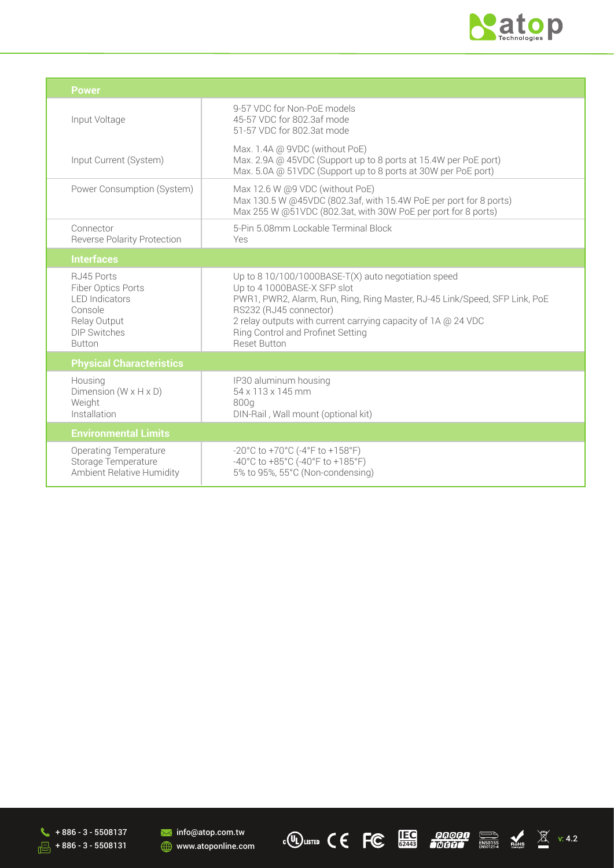

| <b>Power</b>                                                                                                                 |                                                                                                                                                                                                                                                                                                                         |  |
|------------------------------------------------------------------------------------------------------------------------------|-------------------------------------------------------------------------------------------------------------------------------------------------------------------------------------------------------------------------------------------------------------------------------------------------------------------------|--|
| Input Voltage                                                                                                                | 9-57 VDC for Non-PoE models<br>45-57 VDC for 802.3af mode<br>51-57 VDC for 802.3at mode                                                                                                                                                                                                                                 |  |
| Input Current (System)                                                                                                       | Max. 1.4A @ 9VDC (without PoE)<br>Max. 2.9A @ 45VDC (Support up to 8 ports at 15.4W per PoE port)<br>Max. 5.0A @ 51VDC (Support up to 8 ports at 30W per PoE port)                                                                                                                                                      |  |
| Power Consumption (System)                                                                                                   | Max 12.6 W @9 VDC (without PoE)<br>Max 130.5 W @45VDC (802.3af, with 15.4W PoE per port for 8 ports)<br>Max 255 W @51VDC (802.3at, with 30W PoE per port for 8 ports)                                                                                                                                                   |  |
| Connector<br><b>Reverse Polarity Protection</b>                                                                              | 5-Pin 5.08mm Lockable Terminal Block<br>Yes                                                                                                                                                                                                                                                                             |  |
| <b>Interfaces</b>                                                                                                            |                                                                                                                                                                                                                                                                                                                         |  |
| RJ45 Ports<br>Fiber Optics Ports<br><b>LED</b> Indicators<br>Console<br>Relay Output<br><b>DIP Switches</b><br><b>Button</b> | Up to 8 10/100/1000BASE-T(X) auto negotiation speed<br>Up to 4 1000BASE-X SFP slot<br>PWR1, PWR2, Alarm, Run, Ring, Ring Master, RJ-45 Link/Speed, SFP Link, PoE<br>RS232 (RJ45 connector)<br>2 relay outputs with current carrying capacity of 1A @ 24 VDC<br>Ring Control and Profinet Setting<br><b>Reset Button</b> |  |
| <b>Physical Characteristics</b>                                                                                              |                                                                                                                                                                                                                                                                                                                         |  |
| Housing<br>Dimension ( $W \times H \times D$ )<br>Weight<br>Installation                                                     | IP30 aluminum housing<br>54 x 113 x 145 mm<br>800g<br>DIN-Rail, Wall mount (optional kit)                                                                                                                                                                                                                               |  |
| <b>Environmental Limits</b>                                                                                                  |                                                                                                                                                                                                                                                                                                                         |  |
| <b>Operating Temperature</b><br>Storage Temperature<br>Ambient Relative Humidity                                             | -20°C to +70°C (-4°F to +158°F)<br>-40°C to +85°C (-40°F to +185°F)<br>5% to 95%, 55°C (Non-condensing)                                                                                                                                                                                                                 |  |





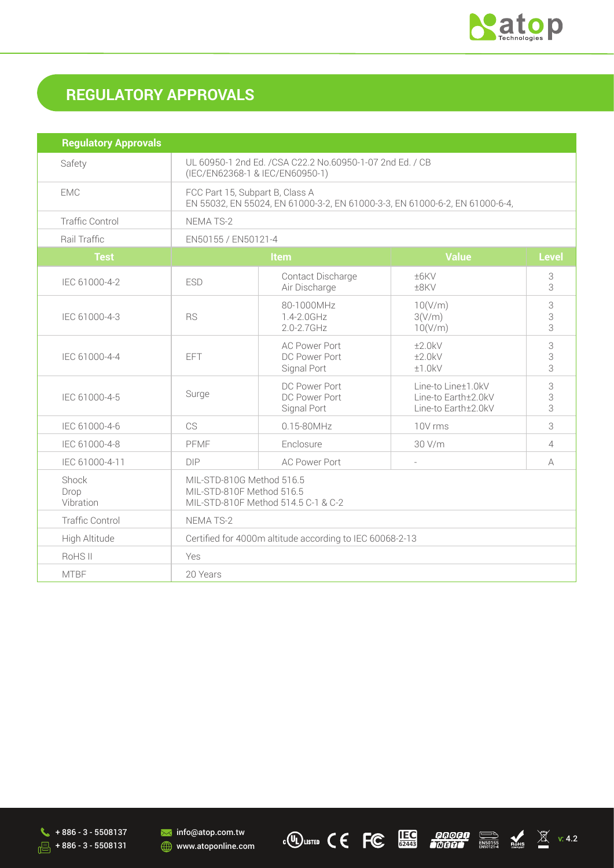

# **REGULATORY APPROVALS**

| <b>Regulatory Approvals</b> |                                                                                                                |                                                      |                                                                  |                    |
|-----------------------------|----------------------------------------------------------------------------------------------------------------|------------------------------------------------------|------------------------------------------------------------------|--------------------|
| Safety                      | UL 60950-1 2nd Ed. /CSA C22.2 No.60950-1-07 2nd Ed. / CB<br>(IEC/EN62368-1 & IEC/EN60950-1)                    |                                                      |                                                                  |                    |
| <b>EMC</b>                  | FCC Part 15, Subpart B, Class A<br>EN 55032, EN 55024, EN 61000-3-2, EN 61000-3-3, EN 61000-6-2, EN 61000-6-4, |                                                      |                                                                  |                    |
| <b>Traffic Control</b>      | <b>NEMATS-2</b>                                                                                                |                                                      |                                                                  |                    |
| Rail Traffic                | EN50155 / EN50121-4                                                                                            |                                                      |                                                                  |                    |
| <b>Test</b>                 | <b>Value</b><br><b>Item</b>                                                                                    |                                                      | <b>Level</b>                                                     |                    |
| IEC 61000-4-2               | <b>ESD</b>                                                                                                     | Contact Discharge<br>Air Discharge                   | ±6KV<br>±8KV                                                     | 3<br>3             |
| IEC 61000-4-3               | <b>RS</b>                                                                                                      | 80-1000MHz<br>1.4-2.0GHz<br>2.0-2.7GHz               | 10(V/m)<br>3(V/m)<br>10(V/m)                                     | 3<br>$\frac{3}{3}$ |
| IEC 61000-4-4               | <b>EFT</b>                                                                                                     | <b>AC Power Port</b><br>DC Power Port<br>Signal Port | ±2.0kV<br>±2.0kV<br>±1.0kV                                       | 3<br>3<br>3        |
| IEC 61000-4-5               | Surge                                                                                                          | DC Power Port<br>DC Power Port<br>Signal Port        | Line-to Line±1.0kV<br>Line-to Earth±2.0kV<br>Line-to Earth±2.0kV | 3<br>3<br>3        |
| IEC 61000-4-6               | CS                                                                                                             | $0.15 - 80$ MHz                                      | 10V rms                                                          | 3                  |
| IEC 61000-4-8               | PFMF                                                                                                           | Enclosure                                            | 30 V/m                                                           | 4                  |
| IEC 61000-4-11              | <b>DIP</b>                                                                                                     | <b>AC Power Port</b>                                 |                                                                  | A                  |
| Shock<br>Drop<br>Vibration  | MIL-STD-810G Method 516.5<br>MIL-STD-810F Method 516.5<br>MIL-STD-810F Method 514.5 C-1 & C-2                  |                                                      |                                                                  |                    |
| <b>Traffic Control</b>      | NEMATS-2                                                                                                       |                                                      |                                                                  |                    |
| High Altitude               | Certified for 4000m altitude according to IEC 60068-2-13                                                       |                                                      |                                                                  |                    |
| RoHS II                     | Yes                                                                                                            |                                                      |                                                                  |                    |
| <b>MTBF</b>                 | 20 Years                                                                                                       |                                                      |                                                                  |                    |

 $\sqrt{+ 886 - 3 - 5508137}$  $\sqrt{3}$  + 886 - 3 - 5508131

**M** info@atop.com.tw **WWW.atoponline.com** 

 $\mathbb{C}^{(U)}$ LISTED  $\mathsf{C} \in \mathsf{FC}$